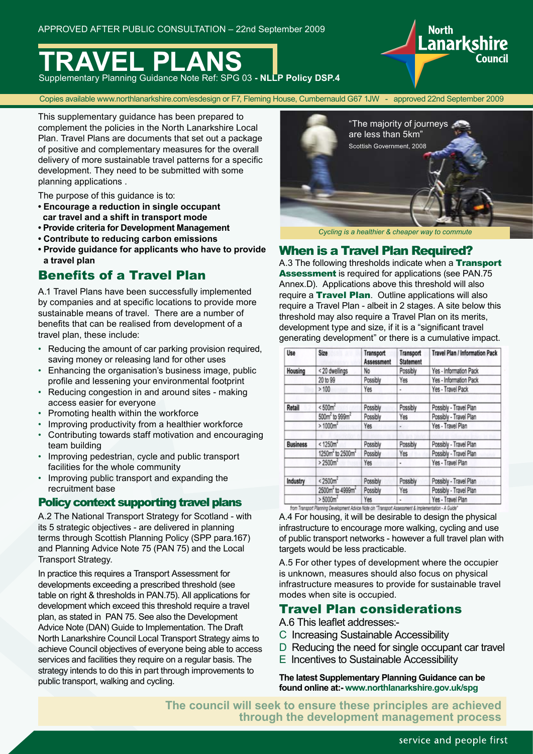

Copies available www.northlanarkshire.com/esdesign or F7, Fleming House, Cumbernauld G67 1JW - approved 22nd September 2009

This supplementary guidance has been prepared to complement the policies in the North Lanarkshire Local Plan. Travel Plans are documents that set out a package of positive and complementary measures for the overall delivery of more sustainable travel patterns for a specific development. They need to be submitted with some planning applications .

The purpose of this guidance is to:

- **Encourage a reduction in single occupant car travel and a shift in transport mode**
- **Provide criteria for Development Management**
- **Contribute to reducing carbon emissions**
- **Provide guidance for applicants who have to provide a travel plan**

## Benefits of a Travel Plan

A.1 Travel Plans have been successfully implemented by companies and at specific locations to provide more sustainable means of travel. There are a number of benefits that can be realised from development of a travel plan, these include:

- Reducing the amount of car parking provision required. saving money or releasing land for other uses
- Enhancing the organisation's business image, public profile and lessening your environmental footprint
- Reducing congestion in and around sites making access easier for everyone
- Promoting health within the workforce
- Improving productivity from a healthier workforce
- Contributing towards staff motivation and encouraging team building
- Improving pedestrian, cycle and public transport facilities for the whole community
- Improving public transport and expanding the recruitment base

### Policy context supporting travel plans

A.2 The National Transport Strategy for Scotland - with its 5 strategic objectives - are delivered in planning terms through Scottish Planning Policy (SPP para.167) and Planning Advice Note 75 (PAN 75) and the Local Transport Strategy.

In practice this requires a Transport Assessment for developments exceeding a prescribed threshold (see table on right & thresholds in PAN.75). All applications for development which exceed this threshold require a travel plan, as stated in PAN 75. See also the Development Advice Note (DAN) Guide to Implementation. The Draft North Lanarkshire Council Local Transport Strategy aims to achieve Council objectives of everyone being able to access services and facilities they require on a regular basis. The strategy intends to do this in part through improvements to public transport, walking and cycling.



**Lanarkshire** 

*Cycling is a healthier & cheaper way to commute*

### When is a Travel Plan Required?

A.3 The following thresholds indicate when a Transport Assessment is required for applications (see PAN.75 Annex.D). Applications above this threshold will also require a Travel Plan. Outline applications will also require a Travel Plan - albeit in 2 stages. A site below this threshold may also require a Travel Plan on its merits, development type and size, if it is a "significant travel generating development" or there is a cumulative impact.

| Use             | Size                                     | Transport<br><b>Assessment</b> | Transport<br><b>Statement</b> | <b>Travel Plan / Information Pack</b> |
|-----------------|------------------------------------------|--------------------------------|-------------------------------|---------------------------------------|
| Housing         | <20 dwellings                            | No                             | Possibly                      | Yes - Information Pack                |
|                 | 20 to 99                                 | Possibly                       | Yes                           | Yes - Information Pack                |
|                 | >100                                     | Yes                            | ٠                             | Yes - Travel Pack                     |
| <b>Retail</b>   | < 500 <sup>2</sup>                       | Possibly                       | Possibly                      | Possibly - Travel Plan                |
|                 | 500m <sup>2</sup> to 999m <sup>2</sup>   | Possibly                       | Yes                           | Possibly - Travel Plan                |
|                 | $> 1000m^2$                              | Yes                            | . .                           | Yes - Travel Plan                     |
| <b>Business</b> | < 1250m <sup>2</sup>                     | Possibly                       | Possibly                      | Possibly - Travel Plan                |
|                 | 1250m <sup>2</sup> to 2500m <sup>2</sup> | Possibly                       | Yes                           | Possibly - Travel Plan                |
|                 | $> 2500 m^2$                             | Yes                            | ٠                             | Yes - Travel Plan                     |
| Industry        | < 2500m <sup>2</sup>                     | Possibly                       | Possibly                      | Possibly - Travel Plan                |
|                 | 2500m <sup>2</sup> to 4999m <sup>2</sup> | Possibly                       | Yes                           | Possibly - Travel Plan                |
|                 | > 5000m <sup>2</sup>                     | Yes                            | ٠                             | Yes - Travel Plan                     |

A.4 For housing, it will be desirable to design the physical infrastructure to encourage more walking, cycling and use of public transport networks - however a full travel plan with targets would be less practicable.

A.5 For other types of development where the occupier is unknown, measures should also focus on physical infrastructure measures to provide for sustainable travel modes when site is occupied.

### Travel Plan considerations

A.6 This leaflet addresses:-

- C Increasing Sustainable Accessibility
- D Reducing the need for single occupant car travel
- E Incentives to Sustainable Accessibility

**The latest Supplementary Planning Guidance can be found online at:- www.northlanarkshire.gov.uk/spg**

**The council will seek to ensure these principles are achieved through the development management process**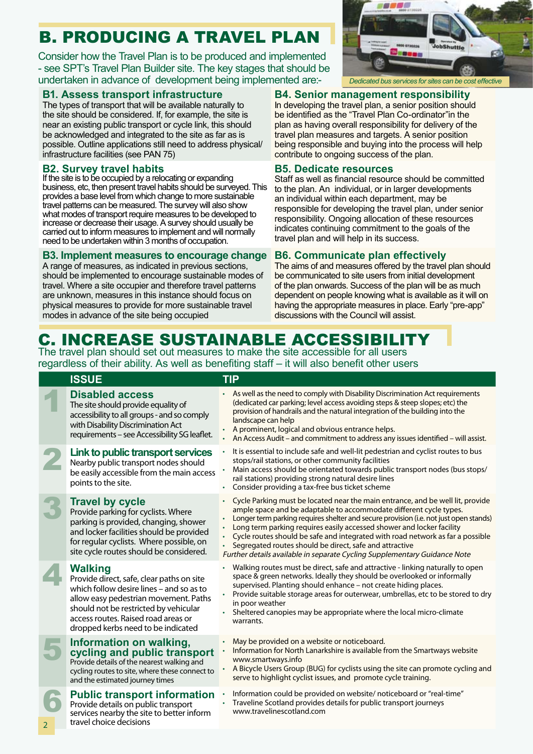# B. PRODUCING A TRAVEL PLAN

Consider how the Travel Plan is to be produced and implemented - see SPT's Travel Plan Builder site. The key stages that should be undertaken in advance of development being implemented are:-

### **B1. Assess transport infrastructure**

The types of transport that will be available naturally to the site should be considered. If, for example, the site is near an existing public transport or cycle link, this should be acknowledged and integrated to the site as far as is possible. Outline applications still need to address physical/ infrastructure facilities (see PAN 75)

### **B2. Survey travel habits**

If the site is to be occupied by a relocating or expanding business, etc, then present travel habits should be surveyed. This provides a base level from which change to more sustainable travel patterns can be measured. The survey will also show what modes of transport require measures to be developed to increase or decrease their usage. A survey should usually be carried out to inform measures to implement and will normally need to be undertaken within 3 months of occupation.

### **B3. Implement measures to encourage change**

A range of measures, as indicated in previous sections, should be implemented to encourage sustainable modes of travel. Where a site occupier and therefore travel patterns are unknown, measures in this instance should focus on physical measures to provide for more sustainable travel modes in advance of the site being occupied



*Dedicated bus services for sites can be cost effective*

### **B4. Senior management responsibility**

In developing the travel plan, a senior position should be identified as the "Travel Plan Co-ordinator"in the plan as having overall responsibility for delivery of the travel plan measures and targets. A senior position being responsible and buying into the process will help contribute to ongoing success of the plan.

### **B5. Dedicate resources**

Staff as well as financial resource should be committed to the plan. An individual, or in larger developments an individual within each department, may be responsible for developing the travel plan, under senior responsibility. Ongoing allocation of these resources indicates continuing commitment to the goals of the travel plan and will help in its success.

### **B6. Communicate plan effectively**

The aims of and measures offered by the travel plan should be communicated to site users from initial development of the plan onwards. Success of the plan will be as much dependent on people knowing what is available as it will on having the appropriate measures in place. Early "pre-app" discussions with the Council will assist.

## C. INCREASE SUSTAINABLE ACCESSIBILITY

The travel plan should set out measures to make the site accessible for all users regardless of their ability. As well as benefiting staff – it will also benefit other users

| <b>ISSUE</b>                                                                                                                                                                                                                                                           | <b>TIP</b>                                                                                                                                                                                                                                                                                                                                                                                                                                                                                                                                       |
|------------------------------------------------------------------------------------------------------------------------------------------------------------------------------------------------------------------------------------------------------------------------|--------------------------------------------------------------------------------------------------------------------------------------------------------------------------------------------------------------------------------------------------------------------------------------------------------------------------------------------------------------------------------------------------------------------------------------------------------------------------------------------------------------------------------------------------|
| <b>Disabled access</b><br>The site should provide equality of<br>accessibility to all groups - and so comply<br>with Disability Discrimination Act<br>requirements - see Accessibility SG leaflet.                                                                     | • As well as the need to comply with Disability Discrimination Act requirements<br>(dedicated car parking; level access avoiding steps & steep slopes; etc) the<br>provision of handrails and the natural integration of the building into the<br>landscape can help<br>A prominent, logical and obvious entrance helps.<br>An Access Audit - and commitment to address any issues identified - will assist.                                                                                                                                     |
| Link to public transport services<br>Nearby public transport nodes should<br>be easily accessible from the main access<br>points to the site.                                                                                                                          | It is essential to include safe and well-lit pedestrian and cyclist routes to bus<br>stops/rail stations, or other community facilities<br>Main access should be orientated towards public transport nodes (bus stops/<br>rail stations) providing strong natural desire lines<br>Consider providing a tax-free bus ticket scheme                                                                                                                                                                                                                |
| <b>Travel by cycle</b><br>Provide parking for cyclists. Where<br>parking is provided, changing, shower<br>and locker facilities should be provided<br>for regular cyclists. Where possible, on<br>site cycle routes should be considered.                              | Cycle Parking must be located near the main entrance, and be well lit, provide<br>ample space and be adaptable to accommodate different cycle types.<br>Longer term parking requires shelter and secure provision (i.e. not just open stands)<br>Long term parking requires easily accessed shower and locker facility<br>Cycle routes should be safe and integrated with road network as far a possible<br>Segregated routes should be direct, safe and attractive<br>Further details available in separate Cycling Supplementary Guidance Note |
| <b>Walking</b><br>Provide direct, safe, clear paths on site<br>which follow desire lines – and so as to<br>allow easy pedestrian movement. Paths<br>should not be restricted by vehicular<br>access routes. Raised road areas or<br>dropped kerbs need to be indicated | Walking routes must be direct, safe and attractive - linking naturally to open<br>space & green networks. Ideally they should be overlooked or informally<br>supervised. Planting should enhance - not create hiding places.<br>Provide suitable storage areas for outerwear, umbrellas, etc to be stored to dry<br>in poor weather<br>Sheltered canopies may be appropriate where the local micro-climate<br>warrants.                                                                                                                          |
| Information on walking,<br>cycling and public transport<br>Provide details of the nearest walking and<br>cycling routes to site, where these connect to<br>and the estimated journey times                                                                             | May be provided on a website or noticeboard.<br>Information for North Lanarkshire is available from the Smartways website<br>www.smartways.info<br>A Bicycle Users Group (BUG) for cyclists using the site can promote cycling and<br>serve to highlight cyclist issues, and promote cycle training.                                                                                                                                                                                                                                             |
| <b>Public transport information</b>                                                                                                                                                                                                                                    | Information could be provided on website/ noticeboard or "real-time"                                                                                                                                                                                                                                                                                                                                                                                                                                                                             |

• Information could be provided on website/ noticeboard or "real-time" • Traveline Scotland provides details for public transport journeys www.travelinescotland.com

 $\overline{2}$ 

Provide details on public transport services nearby the site to better inform

travel choice decisions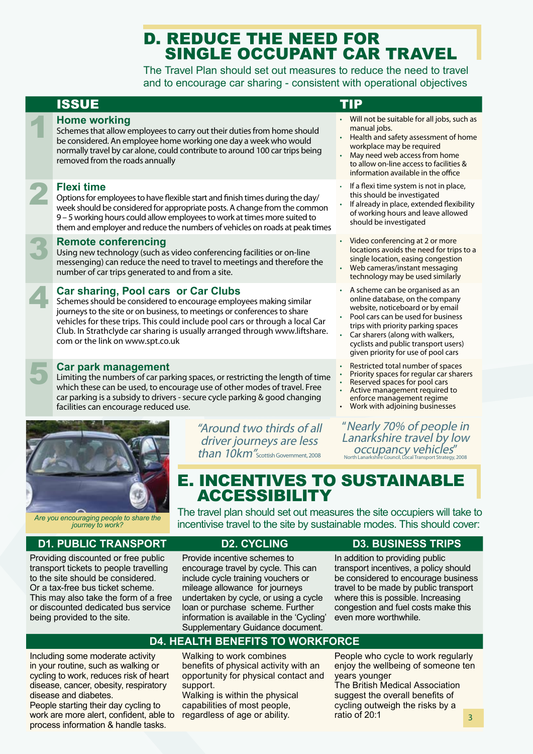## D. REDUCE THE NEED FOR SINGLE OCCUPANT CAR TRAVEL

The Travel Plan should set out measures to reduce the need to travel and to encourage car sharing - consistent with operational objectives

## ISSUE TIP

**1 Home working**<br>5 Schemes that allow either considered. An em Schemes that allow employees to carry out their duties from home should be considered. An employee home working one day a week who would normally travel by car alone, could contribute to around 100 car trips being removed from the roads annually

**PERSITE SERVIS TO FIRST SPEAK**<br>The veek should be Options for employees to have flexible start and finish times during the day/ week should be considered for appropriate posts. A change from the common 9 – 5 working hours could allow employees to work at times more suited to them and employer and reduce the numbers of vehicles on roads at peak times

**Remote conferencing**<br>Using new technology (such as<br>messenging) can reduce the ne Using new technology (such as video conferencing facilities or on-line messenging) can reduce the need to travel to meetings and therefore the number of car trips generated to and from a site.

### 4 **Car sharing, Pool cars or Car Clubs**

Schemes should be considered to encourage employees making similar journeys to the site or on business, to meetings or conferences to share vehicles for these trips. This could include pool cars or through a local Car Club. In Strathclyde car sharing is usually arranged through www.liftshare. com or the link on www.spt.co.uk

### **Car park management**

Limiting the numbers of car parking spaces, or restricting the length of time which these can be used, to encourage use of other modes of travel. Free car parking is a subsidy to drivers - secure cycle parking & good changing facilities can encourage reduced use.



*Are you encouraging people to share the journey to work?*

### **D1. PUBLIC TRANSPORT D2. CYCLING D3. BUSINESS TRIPS**

Providing discounted or free public transport tickets to people travelling to the site should be considered. Or a tax-free bus ticket scheme. This may also take the form of a free or discounted dedicated bus service being provided to the site.

"Around two thirds of all driver journeys are less  $than~10km''$ Scottish Government, 2008

- Will not be suitable for all jobs, such as manual jobs.
- Health and safety assessment of home workplace may be required
- May need web access from home to allow on-line access to facilities & information available in the office
- If a flexi time system is not in place, this should be investigated
- If already in place, extended flexibility of working hours and leave allowed should be investigated
- Video conferencing at 2 or more locations avoids the need for trips to a single location, easing congestion
- Web cameras/instant messaging technology may be used similarly
- A scheme can be organised as an online database, on the company website, noticeboard or by email • Pool cars can be used for business
- trips with priority parking spaces
- Car sharers (along with walkers, cyclists and public transport users) given priority for use of pool cars
- Restricted total number of spaces
- Priority spaces for regular car sharers
- Reserved spaces for pool cars
- Active management required to enforce management regime
- Work with adjoining businesses

"Nearly 70% of people in Lanarkshire travel by low occupancy vehicles" North Lanarkshire Council, Local Transport Strategy, 2008

## E. INCENTIVES TO SUSTAINABLE ACCESSIBILITY

The travel plan should set out measures the site occupiers will take to incentivise travel to the site by sustainable modes. This should cover:

Provide incentive schemes to encourage travel by cycle. This can include cycle training vouchers or mileage allowance for journeys undertaken by cycle, or using a cycle loan or purchase scheme. Further information is available in the 'Cycling' Supplementary Guidance document.

In addition to providing public transport incentives, a policy should be considered to encourage business travel to be made by public transport where this is possible. Increasing congestion and fuel costs make this even more worthwhile.

### **D4. HEALTH BENEFITS TO WORKFORCE**

Including some moderate activity in your routine, such as walking or cycling to work, reduces risk of heart disease, cancer, obesity, respiratory disease and diabetes.

People starting their day cycling to work are more alert, confident, able to process information & handle tasks.

Walking to work combines benefits of physical activity with an opportunity for physical contact and support.

Walking is within the physical capabilities of most people, regardless of age or ability.

People who cycle to work regularly enjoy the wellbeing of someone ten years younger

The British Medical Association suggest the overall benefits of cycling outweigh the risks by a ratio of 20:1  $\overline{3}$